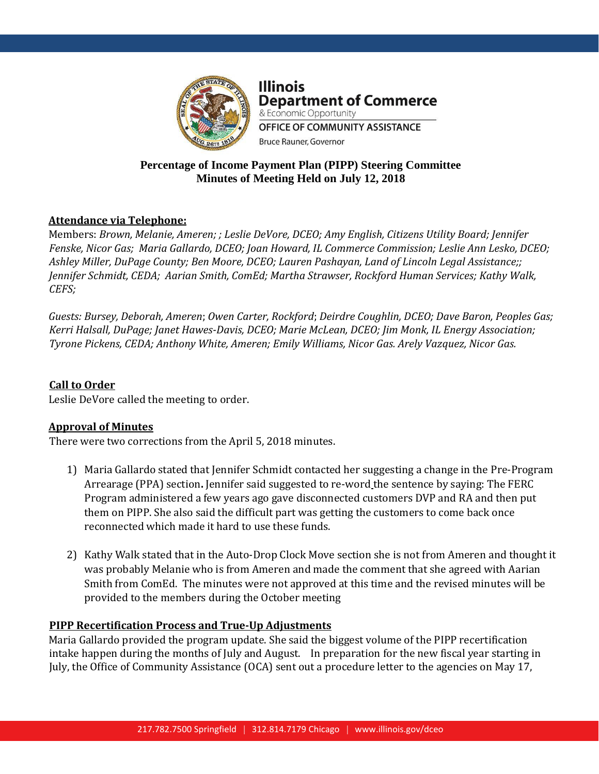

**Illinois Department of Commerce** & Economic Opportunity OFFICE OF COMMUNITY ASSISTANCE

## **Percentage of Income Payment Plan (PIPP) Steering Committee Minutes of Meeting Held on July 12, 2018**

**Bruce Rauner, Governor** 

# **Attendance via Telephone:**

Members: *Brown, Melanie, Ameren; ; Leslie DeVore, DCEO; Amy English, Citizens Utility Board; Jennifer Fenske, Nicor Gas; Maria Gallardo, DCEO; Joan Howard, IL Commerce Commission; Leslie Ann Lesko, DCEO; Ashley Miller, DuPage County; Ben Moore, DCEO; Lauren Pashayan, Land of Lincoln Legal Assistance;; Jennifer Schmidt, CEDA; Aarian Smith, ComEd; Martha Strawser, Rockford Human Services; Kathy Walk, CEFS;*

*Guests: Bursey, Deborah, Ameren*; *Owen Carter, Rockford*; *Deirdre Coughlin, DCEO; Dave Baron, Peoples Gas; Kerri Halsall, DuPage; Janet Hawes-Davis, DCEO; Marie McLean, DCEO; Jim Monk, IL Energy Association; Tyrone Pickens, CEDA; Anthony White, Ameren; Emily Williams, Nicor Gas. Arely Vazquez, Nicor Gas.*

## **Call to Order**

Leslie DeVore called the meeting to order.

### **Approval of Minutes**

There were two corrections from the April 5, 2018 minutes.

- 1) Maria Gallardo stated that Jennifer Schmidt contacted her suggesting a change in the Pre-Program Arrearage (PPA) section**.** Jennifer said suggested to re-word the sentence by saying: The FERC Program administered a few years ago gave disconnected customers DVP and RA and then put them on PIPP. She also said the difficult part was getting the customers to come back once reconnected which made it hard to use these funds.
- 2) Kathy Walk stated that in the Auto-Drop Clock Move section she is not from Ameren and thought it was probably Melanie who is from Ameren and made the comment that she agreed with Aarian Smith from ComEd. The minutes were not approved at this time and the revised minutes will be provided to the members during the October meeting

### **PIPP Recertification Process and True-Up Adjustments**

Maria Gallardo provided the program update. She said the biggest volume of the PIPP recertification intake happen during the months of July and August. In preparation for the new fiscal year starting in July, the Office of Community Assistance (OCA) sent out a procedure letter to the agencies on May 17,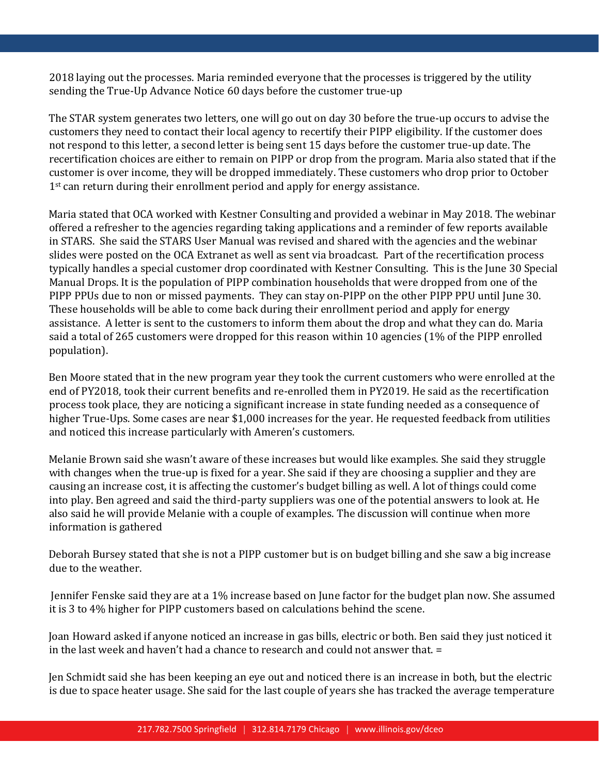2018 laying out the processes. Maria reminded everyone that the processes is triggered by the utility sending the True-Up Advance Notice 60 days before the customer true-up

The STAR system generates two letters, one will go out on day 30 before the true-up occurs to advise the customers they need to contact their local agency to recertify their PIPP eligibility. If the customer does not respond to this letter, a second letter is being sent 15 days before the customer true-up date. The recertification choices are either to remain on PIPP or drop from the program. Maria also stated that if the customer is over income, they will be dropped immediately. These customers who drop prior to October 1<sup>st</sup> can return during their enrollment period and apply for energy assistance.

Maria stated that OCA worked with Kestner Consulting and provided a webinar in May 2018. The webinar offered a refresher to the agencies regarding taking applications and a reminder of few reports available in STARS. She said the STARS User Manual was revised and shared with the agencies and the webinar slides were posted on the OCA Extranet as well as sent via broadcast. Part of the recertification process typically handles a special customer drop coordinated with Kestner Consulting. This is the June 30 Special Manual Drops. It is the population of PIPP combination households that were dropped from one of the PIPP PPUs due to non or missed payments. They can stay on-PIPP on the other PIPP PPU until June 30. These households will be able to come back during their enrollment period and apply for energy assistance. A letter is sent to the customers to inform them about the drop and what they can do. Maria said a total of 265 customers were dropped for this reason within 10 agencies (1% of the PIPP enrolled population).

Ben Moore stated that in the new program year they took the current customers who were enrolled at the end of PY2018, took their current benefits and re-enrolled them in PY2019. He said as the recertification process took place, they are noticing a significant increase in state funding needed as a consequence of higher True-Ups. Some cases are near \$1,000 increases for the year. He requested feedback from utilities and noticed this increase particularly with Ameren's customers.

Melanie Brown said she wasn't aware of these increases but would like examples. She said they struggle with changes when the true-up is fixed for a year. She said if they are choosing a supplier and they are causing an increase cost, it is affecting the customer's budget billing as well. A lot of things could come into play. Ben agreed and said the third-party suppliers was one of the potential answers to look at. He also said he will provide Melanie with a couple of examples. The discussion will continue when more information is gathered

Deborah Bursey stated that she is not a PIPP customer but is on budget billing and she saw a big increase due to the weather.

Jennifer Fenske said they are at a 1% increase based on June factor for the budget plan now. She assumed it is 3 to 4% higher for PIPP customers based on calculations behind the scene.

Joan Howard asked if anyone noticed an increase in gas bills, electric or both. Ben said they just noticed it in the last week and haven't had a chance to research and could not answer that. =

Jen Schmidt said she has been keeping an eye out and noticed there is an increase in both, but the electric is due to space heater usage. She said for the last couple of years she has tracked the average temperature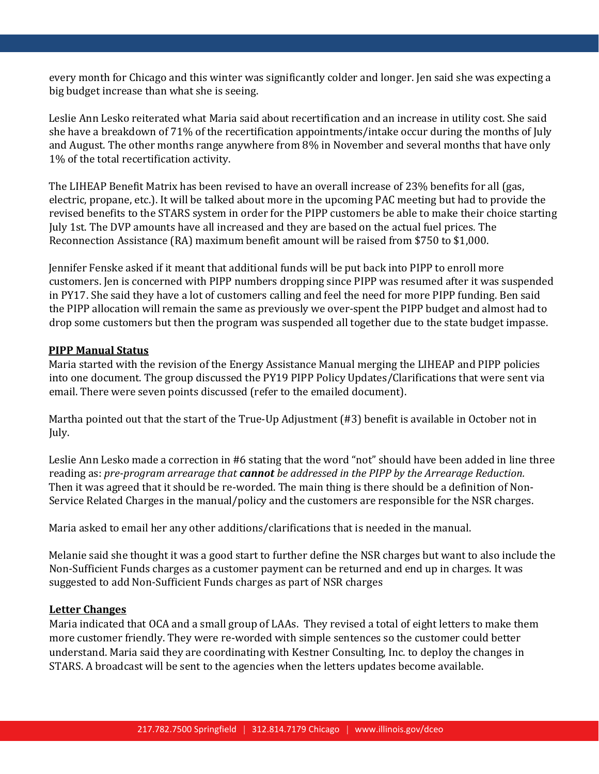every month for Chicago and this winter was significantly colder and longer. Jen said she was expecting a big budget increase than what she is seeing.

Leslie Ann Lesko reiterated what Maria said about recertification and an increase in utility cost. She said she have a breakdown of 71% of the recertification appointments/intake occur during the months of July and August. The other months range anywhere from 8% in November and several months that have only 1% of the total recertification activity.

The LIHEAP Benefit Matrix has been revised to have an overall increase of 23% benefits for all (gas, electric, propane, etc.). It will be talked about more in the upcoming PAC meeting but had to provide the revised benefits to the STARS system in order for the PIPP customers be able to make their choice starting July 1st. The DVP amounts have all increased and they are based on the actual fuel prices. The Reconnection Assistance (RA) maximum benefit amount will be raised from \$750 to \$1,000.

Jennifer Fenske asked if it meant that additional funds will be put back into PIPP to enroll more customers. Jen is concerned with PIPP numbers dropping since PIPP was resumed after it was suspended in PY17. She said they have a lot of customers calling and feel the need for more PIPP funding. Ben said the PIPP allocation will remain the same as previously we over-spent the PIPP budget and almost had to drop some customers but then the program was suspended all together due to the state budget impasse.

### **PIPP Manual Status**

Maria started with the revision of the Energy Assistance Manual merging the LIHEAP and PIPP policies into one document. The group discussed the PY19 PIPP Policy Updates/Clarifications that were sent via email. There were seven points discussed (refer to the emailed document).

Martha pointed out that the start of the True-Up Adjustment (#3) benefit is available in October not in July.

Leslie Ann Lesko made a correction in #6 stating that the word "not" should have been added in line three reading as: *pre-program arrearage that cannot be addressed in the PIPP by the Arrearage Reduction.* Then it was agreed that it should be re-worded. The main thing is there should be a definition of Non-Service Related Charges in the manual/policy and the customers are responsible for the NSR charges.

Maria asked to email her any other additions/clarifications that is needed in the manual.

Melanie said she thought it was a good start to further define the NSR charges but want to also include the Non-Sufficient Funds charges as a customer payment can be returned and end up in charges. It was suggested to add Non-Sufficient Funds charges as part of NSR charges

### **Letter Changes**

Maria indicated that OCA and a small group of LAAs. They revised a total of eight letters to make them more customer friendly. They were re-worded with simple sentences so the customer could better understand. Maria said they are coordinating with Kestner Consulting, Inc. to deploy the changes in STARS. A broadcast will be sent to the agencies when the letters updates become available.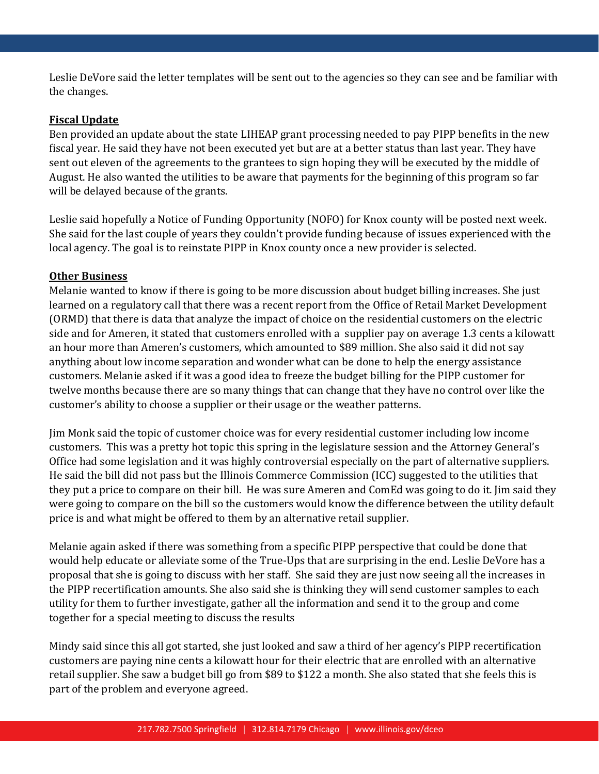Leslie DeVore said the letter templates will be sent out to the agencies so they can see and be familiar with the changes.

### **Fiscal Update**

Ben provided an update about the state LIHEAP grant processing needed to pay PIPP benefits in the new fiscal year. He said they have not been executed yet but are at a better status than last year. They have sent out eleven of the agreements to the grantees to sign hoping they will be executed by the middle of August. He also wanted the utilities to be aware that payments for the beginning of this program so far will be delayed because of the grants.

Leslie said hopefully a Notice of Funding Opportunity (NOFO) for Knox county will be posted next week. She said for the last couple of years they couldn't provide funding because of issues experienced with the local agency. The goal is to reinstate PIPP in Knox county once a new provider is selected.

### **Other Business**

Melanie wanted to know if there is going to be more discussion about budget billing increases. She just learned on a regulatory call that there was a recent report from the Office of Retail Market Development (ORMD) that there is data that analyze the impact of choice on the residential customers on the electric side and for Ameren, it stated that customers enrolled with a supplier pay on average 1.3 cents a kilowatt an hour more than Ameren's customers, which amounted to \$89 million. She also said it did not say anything about low income separation and wonder what can be done to help the energy assistance customers. Melanie asked if it was a good idea to freeze the budget billing for the PIPP customer for twelve months because there are so many things that can change that they have no control over like the customer's ability to choose a supplier or their usage or the weather patterns.

Jim Monk said the topic of customer choice was for every residential customer including low income customers. This was a pretty hot topic this spring in the legislature session and the Attorney General's Office had some legislation and it was highly controversial especially on the part of alternative suppliers. He said the bill did not pass but the Illinois Commerce Commission (ICC) suggested to the utilities that they put a price to compare on their bill. He was sure Ameren and ComEd was going to do it. Jim said they were going to compare on the bill so the customers would know the difference between the utility default price is and what might be offered to them by an alternative retail supplier.

Melanie again asked if there was something from a specific PIPP perspective that could be done that would help educate or alleviate some of the True-Ups that are surprising in the end. Leslie DeVore has a proposal that she is going to discuss with her staff. She said they are just now seeing all the increases in the PIPP recertification amounts. She also said she is thinking they will send customer samples to each utility for them to further investigate, gather all the information and send it to the group and come together for a special meeting to discuss the results

Mindy said since this all got started, she just looked and saw a third of her agency's PIPP recertification customers are paying nine cents a kilowatt hour for their electric that are enrolled with an alternative retail supplier. She saw a budget bill go from \$89 to \$122 a month. She also stated that she feels this is part of the problem and everyone agreed.